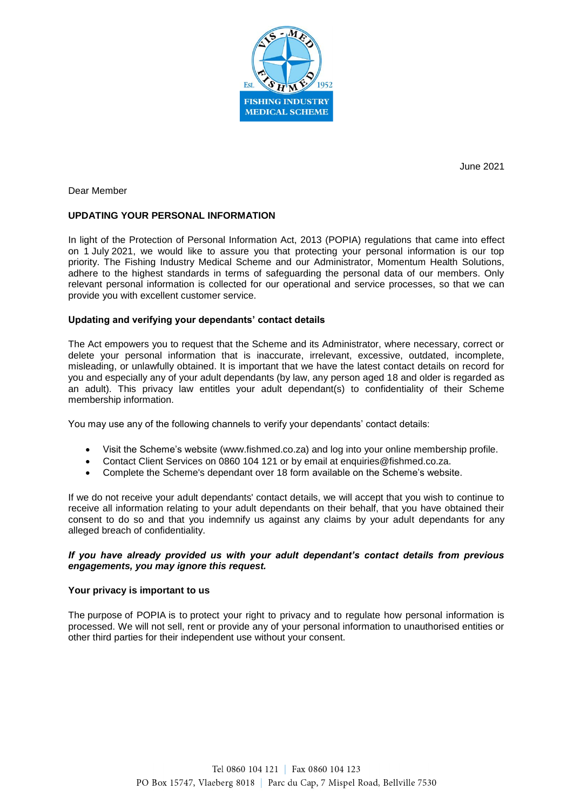

June 2021

Dear Member

# **UPDATING YOUR PERSONAL INFORMATION**

In light of the Protection of Personal Information Act, 2013 (POPIA) regulations that came into effect on 1 July 2021, we would like to assure you that protecting your personal information is our top priority. The Fishing Industry Medical Scheme and our Administrator, Momentum Health Solutions, adhere to the highest standards in terms of safeguarding the personal data of our members. Only relevant personal information is collected for our operational and service processes, so that we can provide you with excellent customer service.

## **Updating and verifying your dependants' contact details**

The Act empowers you to request that the Scheme and its Administrator, where necessary, correct or delete your personal information that is inaccurate, irrelevant, excessive, outdated, incomplete, misleading, or unlawfully obtained. It is important that we have the latest contact details on record for you and especially any of your adult dependants (by law, any person aged 18 and older is regarded as an adult). This privacy law entitles your adult dependant(s) to confidentiality of their Scheme membership information.

You may use any of the following channels to verify your dependants' contact details:

- Visit the Scheme's website (www.fishmed.co.za) and log into your online membership profile.
- Contact Client Services on 0860 104 121 or by email at enquiries@fishmed.co.za.
- Complete the Scheme's dependant over 18 form available on the Scheme's website.

If we do not receive your adult dependants' contact details, we will accept that you wish to continue to receive all information relating to your adult dependants on their behalf, that you have obtained their consent to do so and that you indemnify us against any claims by your adult dependants for any alleged breach of confidentiality.

## *If you have already provided us with your adult dependant's contact details from previous engagements, you may ignore this request.*

## **Your privacy is important to us**

The purpose of POPIA is to protect your right to privacy and to regulate how personal information is processed. We will not sell, rent or provide any of your personal information to unauthorised entities or other third parties for their independent use without your consent.